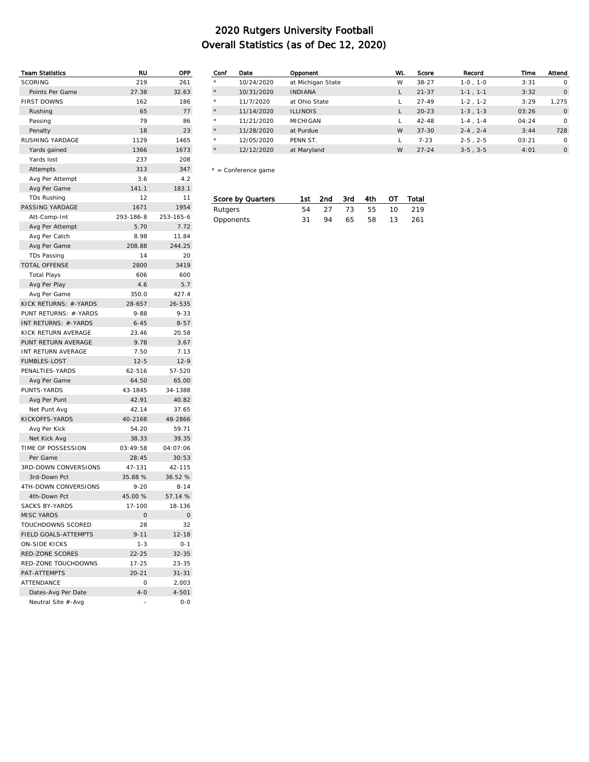| <b>Team Statistics</b> | RU             | OPP       |
|------------------------|----------------|-----------|
| <b>SCORING</b>         | 219            | 261       |
| Points Per Game        | 27.38          | 32.63     |
| <b>FIRST DOWNS</b>     | 162            | 186       |
| Rushing                | 65             | 77        |
| Passing                | 79             | 86        |
| Penalty                | 18             | 23        |
| RUSHING YARDAGE        | 1129           | 1465      |
| Yards gained           | 1366           | 1673      |
| Yards lost             | 237            | 208       |
| Attempts               | 313            | 347       |
| Avg Per Attempt        | 3.6            | 4.2       |
| Avg Per Game           | 141.1          | 183.1     |
| TDs Rushing            | 12             | 11        |
| PASSING YARDAGE        | 1671           | 1954      |
| Att-Comp-Int           | 293-186-8      | 253-165-6 |
| Avg Per Attempt        | 5.70           | 7.72      |
| Avg Per Catch          | 8.98           | 11.84     |
| Avg Per Game           | 208.88         | 244.25    |
| <b>TDs Passing</b>     | 14             | 20        |
| <b>TOTAL OFFENSE</b>   | 2800           | 3419      |
| <b>Total Plays</b>     | 606            | 600       |
| Avg Per Play           | 4.6            | 5.7       |
| Avg Per Game           | 350.0          | 427.4     |
| KICK RETURNS: #-YARDS  | 28-657         | 26-535    |
| PUNT RETURNS: #-YARDS  | $9 - 88$       | $9 - 33$  |
| INT RETURNS: #-YARDS   | $6 - 45$       | $8 - 57$  |
| KICK RETURN AVERAGE    | 23.46          | 20.58     |
| PUNT RETURN AVERAGE    | 9.78           | 3.67      |
| INT RETURN AVERAGE     | 7.50           | 7.13      |
| <b>FUMBLES-LOST</b>    | $12 - 5$       | $12-9$    |
| PENALTIES-YARDS        | 62-516         | 57-520    |
| Avg Per Game           | 64.50          | 65.00     |
| PUNTS-YARDS            | 43-1845        | 34-1388   |
| Avg Per Punt           | 42.91          | 40.82     |
| Net Punt Avg           | 42.14          | 37.65     |
| KICKOFFS-YARDS         | 40-2168        | 48-2866   |
| Avg Per Kick           | 54.20          | 59.71     |
| Net Kick Avg           | 38.33          | 39.35     |
| TIME OF POSSESSION     | 03:49:58       | 04:07:06  |
| Per Game               | 28:45          | 30:53     |
| 3RD-DOWN CONVERSIONS   | 47-131         | 42-115    |
| 3rd-Down Pct           | 35.88 %        | 36.52 %   |
| 4TH-DOWN CONVERSIONS   | $9 - 20$       | $8 - 14$  |
| 4th-Down Pct           | 45.00 %        | 57.14 %   |
| <b>SACKS BY-YARDS</b>  | 17-100         | 18-136    |
| <b>MISC YARDS</b>      | $\circ$        | 0         |
| TOUCHDOWNS SCORED      | 28             | 32        |
| FIELD GOALS-ATTEMPTS   | $9 - 11$       | $12 - 18$ |
| <b>ON-SIDE KICKS</b>   | $1 - 3$        | $0 - 1$   |
| <b>RED-ZONE SCORES</b> | $22 - 25$      | $32 - 35$ |
| RED-ZONE TOUCHDOWNS    | $17 - 25$      | $23 - 35$ |
| PAT-ATTFMPTS           | $20 - 21$      | $31 - 31$ |
| ATTENDANCE             | 0              | 2,003     |
| Dates-Avg Per Date     | $4 - 0$        | 4-501     |
| Neutral Site #-Avg     | $\overline{a}$ | $0 - 0$   |
|                        |                |           |

| Conf    | Date       | Opponent          | WL | Score     | Record            | Time  | Attend   |
|---------|------------|-------------------|----|-----------|-------------------|-------|----------|
| $\star$ | 10/24/2020 | at Michigan State | W  | $38 - 27$ | $1-0$ , $1-0$     | 3:31  | $\Omega$ |
| $\star$ | 10/31/2020 | <b>INDIANA</b>    |    | $21 - 37$ | $1-1, 1-1$        | 3:32  | $\circ$  |
| $\star$ | 11/7/2020  | at Ohio State     |    | $27 - 49$ | $1-2$ , $1-2$     | 3:29  | 1.275    |
| $\star$ | 11/14/2020 | <b>ILLINOIS</b>   |    | $20 - 23$ | $1-3, 1-3$        | 03:26 | $\circ$  |
| $\star$ | 11/21/2020 | <b>MICHIGAN</b>   |    | $42 - 48$ | $1-4$ . $1-4$     | 04:24 | $\Omega$ |
| $\star$ | 11/28/2020 | at Purdue         | W  | $37 - 30$ | $2 - 4$ , $2 - 4$ | 3:44  | 728      |
| $\star$ | 12/05/2020 | PENN ST.          |    | $7 - 23$  | $2-5$ , $2-5$     | 03:21 | $\Omega$ |
| $\star$ | 12/12/2020 | at Maryland       | W  | $27 - 24$ | $3-5$ , $3-5$     | 4:01  | $\circ$  |
|         |            |                   |    |           |                   |       |          |

\* = Conference game

| Score by Quarters |     | 1st 2nd 3rd 4th OT Total |                 |              |
|-------------------|-----|--------------------------|-----------------|--------------|
| Rutgers           | 54  |                          | 27 73 55 10 219 |              |
| Opponents         | 31. | 94                       |                 | 65 58 13 261 |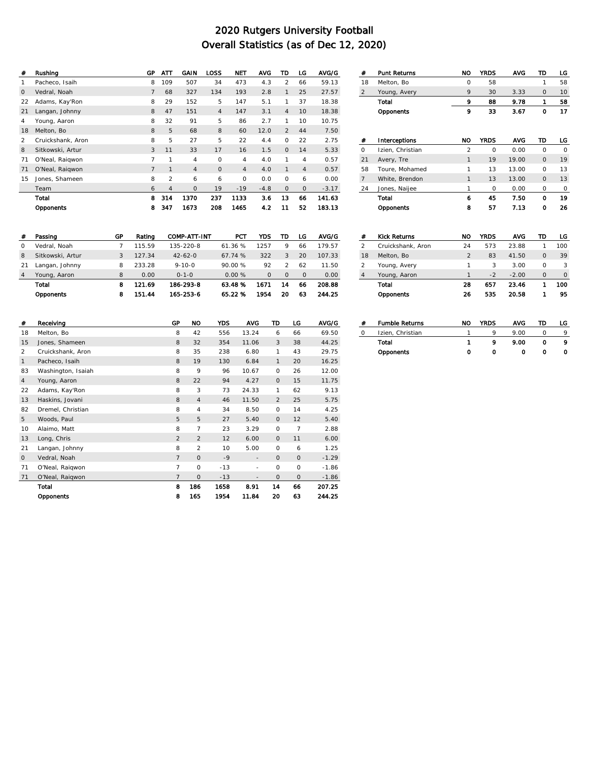| #             | Rushing           | GP             | ATT            | GAIN           | LOSS           | <b>NET</b>     | <b>AVG</b> | TD             | LG             | AVG/G   |
|---------------|-------------------|----------------|----------------|----------------|----------------|----------------|------------|----------------|----------------|---------|
|               | Pacheco, Isaih    | 8              | 109            | 507            | 34             | 473            | 4.3        | 2              | 66             | 59.13   |
| $\mathbf{0}$  | Vedral, Noah      | $\overline{7}$ | 68             | 327            | 134            | 193            | 2.8        | 1              | 25             | 27.57   |
| 22            | Adams, Kay'Ron    | 8              | 29             | 152            | 5              | 147            | 5.1        | 1              | 37             | 18.38   |
| 21            | Langan, Johnny    | 8              | 47             | 151            | $\overline{4}$ | 147            | 3.1        | $\overline{4}$ | 10             | 18.38   |
| 4             | Young, Aaron      | 8              | 32             | 91             | 5              | 86             | 2.7        | 1              | 10             | 10.75   |
| 18            | Melton, Bo        | 8              | 5              | 68             | 8              | 60             | 12.0       | 2              | 44             | 7.50    |
| $\mathcal{P}$ | Cruickshank, Aron | 8              | 5              | 27             | 5              | 22             | 4.4        | $\circ$        | 22             | 2.75    |
| 8             | Sitkowski, Artur  | 3              | 11             | 33             | 17             | 16             | 1.5        | $\circ$        | 14             | 5.33    |
| 71            | O'Neal, Raigwon   | 7              | 1              | $\overline{4}$ | $\circ$        | $\overline{4}$ | 4.0        | 1              | 4              | 0.57    |
| 71            | O'Neal, Raigwon   | $\overline{7}$ | 1              | $\overline{4}$ | $\Omega$       | $\overline{4}$ | 4.0        | 1              | $\overline{4}$ | 0.57    |
| 15            | Jones, Shameen    | 8              | $\overline{2}$ | 6              | 6              | $\circ$        | 0.0        | $\circ$        | 6              | 0.00    |
|               | Team              | 6              | $\overline{4}$ | $\circ$        | 19             | $-19$          | $-4.8$     | $\circ$        | $\mathbf{O}$   | $-3.17$ |
|               | Total             | 8              | 314            | 1370           | 237            | 1133           | 3.6        | 13             | 66             | 141.63  |
|               | Opponents         | 8              | 347            | 1673           | 208            | 1465           | 4.2        | 11             | 52             | 183.13  |

| #        | Passing          | GP | Rating | COMP-ATT-INT  | <b>PCT</b> | YDS      | TD       | LG      | AVG/G  |
|----------|------------------|----|--------|---------------|------------|----------|----------|---------|--------|
| $\Omega$ | Vedral, Noah     |    | 115.59 | 135-220-8     | 61.36%     | 1257     | 9        | 66      | 179.57 |
| 8        | Sitkowski, Artur |    | 127.34 | $42 - 62 - 0$ | 67.74%     | 322      | 3        | 20      | 107.33 |
| 21       | Langan, Johnny   | 8  | 233.28 | $9 - 10 - 0$  | 90.00%     | 92       | 2        | 62      | 11.50  |
|          | Young, Aaron     | 8  | 0.00   | $0 - 1 - 0$   | 0.00%      | $\Omega$ | $\Omega$ | $\circ$ | 0.00   |
|          | Total            | 8  | 121.69 | 186-293-8     | 63.48%     | 1671     | 14       | 66      | 208.88 |
|          | Opponents        | 8  | 151.44 | 165-253-6     | 65.22%     | 1954     | 20       | 63      | 244.25 |

| #              | <b>Punt Returns</b> | NO             | <b>YRDS</b> | <b>AVG</b> | TD          | LG       |
|----------------|---------------------|----------------|-------------|------------|-------------|----------|
| 18             | Melton, Bo          | $\Omega$       | 58          |            | 1           | 58       |
| 2              | Young, Avery        | 9              | 30          | 3.33       | $\mathbf 0$ | 10       |
|                | Total               | 9              | 88          | 9.78       | 1           | 58       |
|                | Opponents           | 9              | 33          | 3.67       | 0           | 17       |
|                |                     |                |             |            |             |          |
|                |                     |                |             |            |             |          |
| #              | Interceptions       | <b>NO</b>      | <b>YRDS</b> | <b>AVG</b> | TD          | LG       |
| $\Omega$       | Izien, Christian    | $\overline{2}$ | $\Omega$    | 0.00       | 0           | $\Omega$ |
| 21             | Avery, Tre          | $\mathbf{1}$   | 19          | 19.00      | $\Omega$    | 19       |
| 58             | Toure, Mohamed      | 1              | 13          | 13.00      | $\Omega$    | 13       |
| $\overline{7}$ | White, Brendon      | $\mathbf{1}$   | 13          | 13.00      | $\Omega$    | 13       |
| 24             | Jones, Naijee       | 1              | 0           | 0.00       | 0           | 0        |
|                | Total               | 6              | 45          | 7.50       | о           | 19       |
|                | Opponents           | 8              | 57          | 7.13       | 0           | 26       |
|                |                     |                |             |            |             |          |

| #              | <b>Kick Returns</b> | NO            | <b>YRDS</b> | <b>AVG</b> | TD       | LG       |
|----------------|---------------------|---------------|-------------|------------|----------|----------|
| $\mathfrak{D}$ | Cruickshank, Aron   | 24            | 573         | 23.88      |          | 100      |
| 18             | Melton, Bo          | $\mathcal{P}$ | 83          | 41.50      | $\Omega$ | 39       |
| 2              | Young, Avery        | 1             | 3           | 3.00       | O        | 3        |
| $\overline{4}$ | Young, Aaron        |               | $-2$        | $-2.00$    | $\Omega$ | $\Omega$ |
|                | Total               | 28            | 657         | 23.46      |          | 100      |
|                | Opponents           | 26            | 535         | 20.58      | 1        | 95       |
|                |                     |               |             |            |          |          |

| #              | Receiving          | GP             | NO.            | <b>YDS</b> | <b>AVG</b>               | TD             | LG      | AVG/G   |
|----------------|--------------------|----------------|----------------|------------|--------------------------|----------------|---------|---------|
| 18             | Melton, Bo         | 8              | 42             | 556        | 13.24                    | 6              | 66      | 69.50   |
| 15             | Jones, Shameen     | 8              | 32             | 354        | 11.06                    | 3              | 38      | 44.25   |
| 2              | Cruickshank, Aron  | 8              | 35             | 238        | 6.80                     | 1              | 43      | 29.75   |
| $\mathbf{1}$   | Pacheco, Isaih     | 8              | 19             | 130        | 6.84                     | 1              | 20      | 16.25   |
| 83             | Washington, Isaiah | 8              | 9              | 96         | 10.67                    | $\Omega$       | 26      | 12.00   |
| $\overline{4}$ | Young, Aaron       | 8              | 22             | 94         | 4.27                     | $\Omega$       | 15      | 11.75   |
| 22             | Adams, Kay'Ron     | 8              | 3              | 73         | 24.33                    | 1              | 62      | 9.13    |
| 13             | Haskins, Jovani    | 8              | $\overline{4}$ | 46         | 11.50                    | $\overline{2}$ | 25      | 5.75    |
| 82             | Dremel, Christian  | 8              | $\overline{4}$ | 34         | 8.50                     | $\circ$        | 14      | 4.25    |
| 5              | Woods, Paul        | 5              | 5              | 27         | 5.40                     | $\circ$        | 12      | 5.40    |
| 10             | Alaimo, Matt       | 8              | $\overline{7}$ | 23         | 3.29                     | $\circ$        | 7       | 2.88    |
| 13             | Long, Chris        | 2              | $\overline{2}$ | 12         | 6.00                     | $\Omega$       | 11      | 6.00    |
| 21             | Langan, Johnny     | 8              | $\overline{2}$ | 10         | 5.00                     | $\circ$        | 6       | 1.25    |
| $\mathbf{0}$   | Vedral, Noah       | $\overline{7}$ | $\circ$        | $-9$       | $\overline{\phantom{a}}$ | $\circ$        | $\circ$ | $-1.29$ |
| 71             | O'Neal, Raigwon    | $\overline{7}$ | $\circ$        | $-13$      | ٠                        | $\circ$        | $\circ$ | $-1.86$ |
| 71             | O'Neal, Raigwon    | $\overline{7}$ | $\mathbf{O}$   | $-13$      |                          | $\circ$        | 0       | $-1.86$ |
|                | Total              | 8              | 186            | 1658       | 8.91                     | 14             | 66      | 207.25  |
|                | Opponents          | 8              | 165            | 1954       | 11.84                    | 20             | 63      | 244.25  |

| # | <b>Fumble Returns</b> | NO | <b>YRDS</b> | <b>AVG</b> | TD. | LG |
|---|-----------------------|----|-------------|------------|-----|----|
|   | Izien, Christian      |    | o           | 9.00       |     |    |
|   | Total                 |    |             | 9.00       | o   |    |
|   | Opponents             |    | о           | Ω          | Ω   |    |
|   |                       |    |             |            |     |    |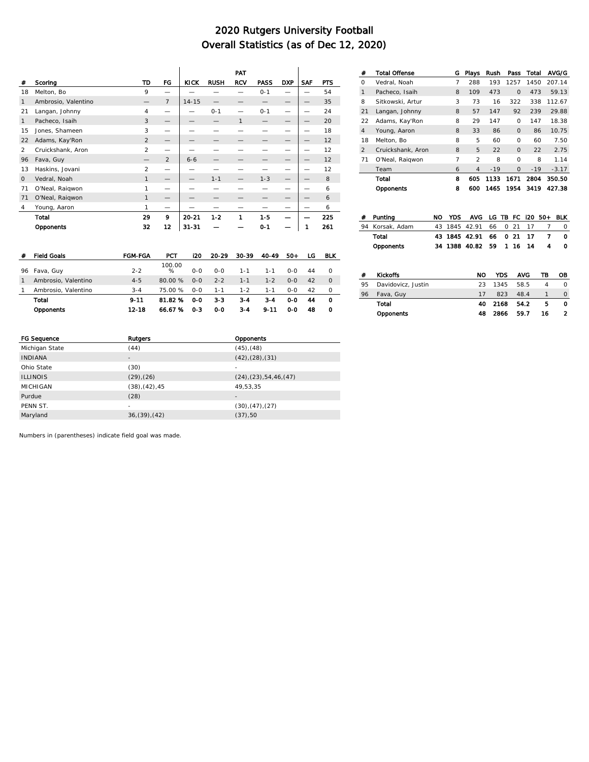|                |                     |                |                |             |             | PAT          |             |            |            |            |
|----------------|---------------------|----------------|----------------|-------------|-------------|--------------|-------------|------------|------------|------------|
| #              | Scoring             | TD             | <b>FG</b>      | <b>KICK</b> | <b>RUSH</b> | <b>RCV</b>   | <b>PASS</b> | <b>DXP</b> | <b>SAF</b> | <b>PTS</b> |
| 18             | Melton, Bo          | 9              |                |             |             |              | $0 - 1$     |            |            | 54         |
| 1              | Ambrosio, Valentino |                | $\overline{7}$ | $14 - 15$   |             |              |             |            |            | 35         |
| 21             | Langan, Johnny      | $\overline{4}$ | -              |             | $0 - 1$     |              | $0 - 1$     |            |            | 24         |
| $\mathbf{1}$   | Pacheco, Isaih      | 3              | –              |             |             | $\mathbf{1}$ |             |            |            | 20         |
| 15             | Jones, Shameen      | 3              |                |             |             |              |             |            |            | 18         |
| 22             | Adams, Kay'Ron      | $\mathfrak{D}$ | –              |             |             |              |             |            |            | 12         |
| $\mathfrak{D}$ | Cruickshank, Aron   | $\mathcal{P}$  | -              |             |             |              |             |            |            | 12         |
| 96             | Fava, Guy           |                | 2              | $6 - 6$     |             |              |             |            |            | 12         |
| 13             | Haskins, Jovani     | $\overline{2}$ | -              |             |             |              |             |            |            | 12         |
| $\Omega$       | Vedral, Noah        | $\mathbf{1}$   |                |             | $1 - 1$     |              | $1 - 3$     |            |            | 8          |
| 71             | O'Neal, Raigwon     | 1              | -              |             |             |              |             |            |            | 6          |
| 71             | O'Neal, Raigwon     | $\mathbf{1}$   |                |             |             |              |             |            |            | 6          |
| 4              | Young, Aaron        | 1              | -              |             |             |              |             |            |            | 6          |
|                | Total               | 29             | 9              | 20-21       | $1-2$       | 1            | $1-5$       |            |            | 225        |
|                | Opponents           | 32             | 12             | $31 - 31$   |             |              | $0 - 1$     |            |            | 261        |

| #              | <b>Total Offense</b> | G | Plays          | Rush  | Pass     | Total | AVG/G   |
|----------------|----------------------|---|----------------|-------|----------|-------|---------|
| $\Omega$       | Vedral, Noah         | 7 | 288            | 193   | 1257     | 1450  | 207.14  |
| 1              | Pacheco, Isaih       | 8 | 109            | 473   | $\Omega$ | 473   | 59.13   |
| 8              | Sitkowski, Artur     | 3 | 73             | 16    | 322      | 338   | 112.67  |
| 21             | Langan, Johnny       | 8 | 57             | 147   | 92       | 239   | 29.88   |
| 22             | Adams, Kay'Ron       | 8 | 29             | 147   | $\Omega$ | 147   | 18.38   |
| $\overline{4}$ | Young, Aaron         | 8 | 33             | 86    | $\Omega$ | 86    | 10.75   |
| 18             | Melton, Bo           | 8 | 5              | 60    | $\Omega$ | 60    | 7.50    |
| $\mathfrak{D}$ | Cruickshank, Aron    | 8 | 5              | 22    | $\Omega$ | 22    | 2.75    |
| 71             | O'Neal, Raigwon      | 7 | $\mathfrak{D}$ | 8     | $\Omega$ | 8     | 1.14    |
|                | Team                 | 6 | $\overline{4}$ | $-19$ | $\Omega$ | $-19$ | $-3.17$ |
|                | Total                | 8 | 605            | 1133  | 1671     | 2804  | 350.50  |
|                | Opponents            | 8 | 600            | 1465  | 1954     | 3419  | 427.38  |

| <b>Field Goals</b>  | <b>FGM-FGA</b> | PCT         | 120   | 20-29   | 30-39   | 40-49    | $50-$ | LG | <b>BLK</b> |
|---------------------|----------------|-------------|-------|---------|---------|----------|-------|----|------------|
|                     | $2 - 2$        | 100.00<br>% | $O-O$ | $O-O$   | $1 - 1$ | $1 - 1$  | $O-O$ | 44 | $\Omega$   |
| Ambrosio, Valentino | $4 - 5$        | 80.00%      | $O-O$ | $2 - 2$ | $1 - 1$ | $1 - 2$  | $O-O$ | 42 | $\Omega$   |
| Ambrosio, Valentino | $3 - 4$        | 75.00 %     | $O-O$ | $1 - 1$ | $1 - 2$ | $1 - 1$  | $O-O$ | 42 | $\Omega$   |
| Total               | $9 - 11$       | 81.82 %     | 0-0   | $3 - 3$ | $3 - 4$ | $3 - 4$  | ი-ი   | 44 | 0          |
| Opponents           | $12 - 18$      | 66.67 %     | $0-3$ | $0-0$   | $3-4$   | $9 - 11$ | $0-0$ | 48 | Ω          |
|                     | 96 Fava, Guy   |             |       |         |         |          |       |    |            |

| #  | Puntina            | NO | YDS. | AVG LG TB FC 120 50+ |     |          |      |      |                | <b>BLK</b> |
|----|--------------------|----|------|----------------------|-----|----------|------|------|----------------|------------|
| 94 | Korsak, Adam       | 43 |      | 1845 42.91           | 66  | $\Omega$ | 21   | 17   |                | 0          |
|    | Total              |    |      | 43 1845 42.91        | 66  |          | 0.21 | 17   | 7              | Ω          |
|    | Opponents          |    |      | 34 1388 40.82        | -59 |          | 1 16 | 14   | 4              | ο          |
|    |                    |    |      |                      |     |          |      |      |                |            |
|    |                    |    |      |                      |     |          |      |      |                |            |
| #  | <b>Kickoffs</b>    |    |      | <b>NO</b>            |     | YDS      |      | AVG  | ΤВ             | OВ         |
| 95 | Davidovicz, Justin |    |      | 23                   |     | 1345     |      | 58.5 | $\overline{4}$ | O          |
| 96 | Fava, Guy          |    |      | 17                   |     | 823      |      | 48.4 | 1              | $\Omega$   |
|    | Total              |    |      | 40                   |     | 2168     |      | 54.2 | 5              | Ω          |

Opponents 48 2866 59.7 16 2

| FG Sequence     | Rutgers                | Opponents                        |
|-----------------|------------------------|----------------------------------|
| Michigan State  | (44)                   | $(45)$ , $(48)$                  |
| <b>INDIANA</b>  | $\qquad \qquad =$      | $(42)$ , $(28)$ , $(31)$         |
| Ohio State      | (30)                   | ٠                                |
| <b>ILLINOIS</b> | $(29)$ , $(26)$        | $(24)$ , $(23)$ , 54, 46, $(47)$ |
| MICHIGAN        | $(38)$ , $(42)$ , $45$ | 49,53,35                         |
| Purdue          | (28)                   | $\qquad \qquad \blacksquare$     |
| PENN ST.        | ۰                      | (30), (47), (27)                 |
| Maryland        | 36(39)(42)             | (37), 50                         |
|                 |                        |                                  |

Numbers in (parentheses) indicate field goal was made.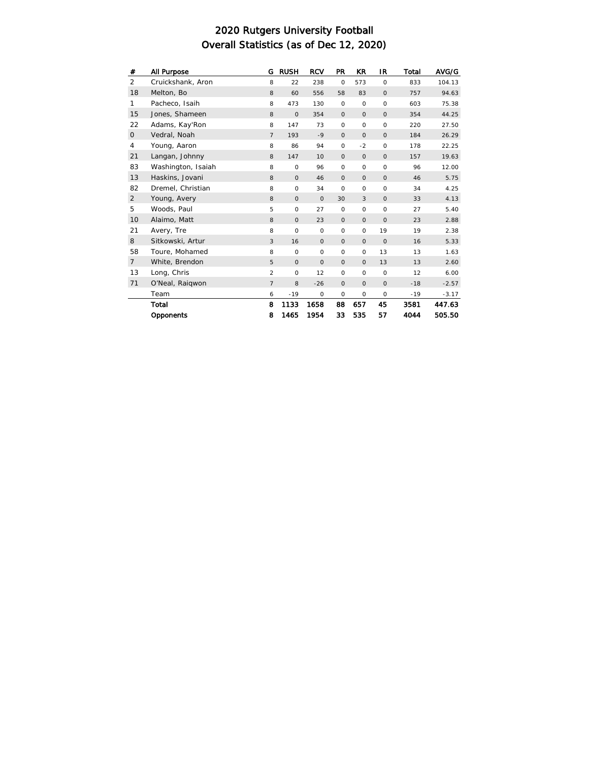| #              | All Purpose        | G              | <b>RUSH</b> | <b>RCV</b> | <b>PR</b>   | KR           | IR          | Total | AVG/G   |
|----------------|--------------------|----------------|-------------|------------|-------------|--------------|-------------|-------|---------|
| 2              | Cruickshank, Aron  | 8              | 22          | 238        | $\circ$     | 573          | $\circ$     | 833   | 104.13  |
| 18             | Melton, Bo         | 8              | 60          | 556        | 58          | 83           | $\circ$     | 757   | 94.63   |
| 1              | Pacheco, Isaih     | 8              | 473         | 130        | $\circ$     | $\circ$      | $\circ$     | 603   | 75.38   |
| 15             | Jones, Shameen     | 8              | $\circ$     | 354        | $\mathsf O$ | $\circ$      | $\circ$     | 354   | 44.25   |
| 22             | Adams, Kay'Ron     | 8              | 147         | 73         | $\mathsf O$ | $\circ$      | $\circ$     | 220   | 27.50   |
| $\mathsf{O}$   | Vedral, Noah       | $\overline{7}$ | 193         | $-9$       | $\mathsf O$ | $\circ$      | $\mathsf O$ | 184   | 26.29   |
| 4              | Young, Aaron       | 8              | 86          | 94         | $\circ$     | $-2$         | $\circ$     | 178   | 22.25   |
| 21             | Langan, Johnny     | 8              | 147         | 10         | $\circ$     | $\mathsf O$  | $\circ$     | 157   | 19.63   |
| 83             | Washington, Isaiah | 8              | $\mathsf O$ | 96         | $\circ$     | $\circ$      | $\circ$     | 96    | 12.00   |
| 13             | Haskins, Jovani    | 8              | $\circ$     | 46         | $\mathsf O$ | $\mathsf O$  | $\circ$     | 46    | 5.75    |
| 82             | Dremel, Christian  | 8              | $\circ$     | 34         | $\circ$     | $\circ$      | $\circ$     | 34    | 4.25    |
| $\overline{2}$ | Young, Avery       | 8              | $\mathsf O$ | $\circ$    | 30          | $\mathbf{3}$ | $\circ$     | 33    | 4.13    |
| 5              | Woods, Paul        | 5              | $\circ$     | 27         | $\circ$     | $\circ$      | $\circ$     | 27    | 5.40    |
| 10             | Alaimo, Matt       | 8              | $\mathsf O$ | 23         | $\circ$     | $\mathsf O$  | $\circ$     | 23    | 2.88    |
| 21             | Avery, Tre         | 8              | $\circ$     | $\circ$    | $\circ$     | $\circ$      | 19          | 19    | 2.38    |
| 8              | Sitkowski, Artur   | $\mathbf{3}$   | 16          | $\circ$    | $\mathbf 0$ | $\mathsf O$  | $\circ$     | 16    | 5.33    |
| 58             | Toure, Mohamed     | 8              | $\circ$     | $\circ$    | $\circ$     | $\circ$      | 13          | 13    | 1.63    |
| $\overline{7}$ | White, Brendon     | 5              | $\circ$     | $\circ$    | $\circ$     | $\circ$      | 13          | 13    | 2.60    |
| 13             | Long, Chris        | 2              | $\circ$     | 12         | $\circ$     | $\circ$      | $\circ$     | 12    | 6.00    |
| 71             | O'Neal, Raigwon    | $\overline{7}$ | 8           | $-26$      | $\mathsf O$ | $\circ$      | $\circ$     | $-18$ | $-2.57$ |
|                | Team               | 6              | $-19$       | $\circ$    | $\circ$     | $\circ$      | $\circ$     | $-19$ | $-3.17$ |
|                | Total              | 8              | 1133        | 1658       | 88          | 657          | 45          | 3581  | 447.63  |
|                | Opponents          | 8              | 1465        | 1954       | 33          | 535          | 57          | 4044  | 505.50  |